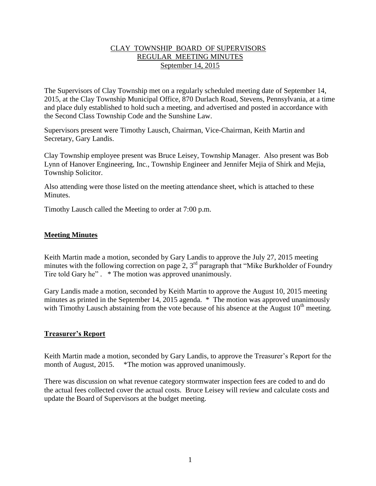### CLAY TOWNSHIP BOARD OF SUPERVISORS REGULAR MEETING MINUTES September 14, 2015

The Supervisors of Clay Township met on a regularly scheduled meeting date of September 14, 2015, at the Clay Township Municipal Office, 870 Durlach Road, Stevens, Pennsylvania, at a time and place duly established to hold such a meeting, and advertised and posted in accordance with the Second Class Township Code and the Sunshine Law.

Supervisors present were Timothy Lausch, Chairman, Vice-Chairman, Keith Martin and Secretary, Gary Landis.

Clay Township employee present was Bruce Leisey, Township Manager. Also present was Bob Lynn of Hanover Engineering, Inc., Township Engineer and Jennifer Mejia of Shirk and Mejia, Township Solicitor.

Also attending were those listed on the meeting attendance sheet, which is attached to these Minutes.

Timothy Lausch called the Meeting to order at 7:00 p.m.

# **Meeting Minutes**

Keith Martin made a motion, seconded by Gary Landis to approve the July 27, 2015 meeting minutes with the following correction on page 2,  $3<sup>rd</sup>$  paragraph that "Mike Burkholder of Foundry Tire told Gary he".  $*$  The motion was approved unanimously.

Gary Landis made a motion, seconded by Keith Martin to approve the August 10, 2015 meeting minutes as printed in the September 14, 2015 agenda. \* The motion was approved unanimously with Timothy Lausch abstaining from the vote because of his absence at the August 10<sup>th</sup> meeting.

# **Treasurer's Report**

Keith Martin made a motion, seconded by Gary Landis, to approve the Treasurer's Report for the month of August, 2015. \*The motion was approved unanimously.

There was discussion on what revenue category stormwater inspection fees are coded to and do the actual fees collected cover the actual costs. Bruce Leisey will review and calculate costs and update the Board of Supervisors at the budget meeting.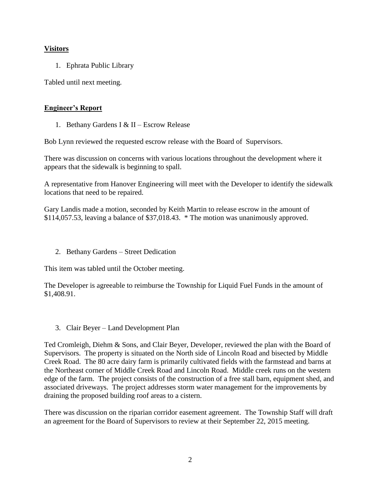# **Visitors**

1. Ephrata Public Library

Tabled until next meeting.

# **Engineer's Report**

1. Bethany Gardens I & II – Escrow Release

Bob Lynn reviewed the requested escrow release with the Board of Supervisors.

There was discussion on concerns with various locations throughout the development where it appears that the sidewalk is beginning to spall.

A representative from Hanover Engineering will meet with the Developer to identify the sidewalk locations that need to be repaired.

Gary Landis made a motion, seconded by Keith Martin to release escrow in the amount of \$114,057.53, leaving a balance of \$37,018.43. \* The motion was unanimously approved.

2. Bethany Gardens – Street Dedication

This item was tabled until the October meeting.

The Developer is agreeable to reimburse the Township for Liquid Fuel Funds in the amount of \$1,408.91.

# 3. Clair Beyer – Land Development Plan

Ted Cromleigh, Diehm & Sons, and Clair Beyer, Developer, reviewed the plan with the Board of Supervisors. The property is situated on the North side of Lincoln Road and bisected by Middle Creek Road. The 80 acre dairy farm is primarily cultivated fields with the farmstead and barns at the Northeast corner of Middle Creek Road and Lincoln Road. Middle creek runs on the western edge of the farm. The project consists of the construction of a free stall barn, equipment shed, and associated driveways. The project addresses storm water management for the improvements by draining the proposed building roof areas to a cistern.

There was discussion on the riparian corridor easement agreement. The Township Staff will draft an agreement for the Board of Supervisors to review at their September 22, 2015 meeting.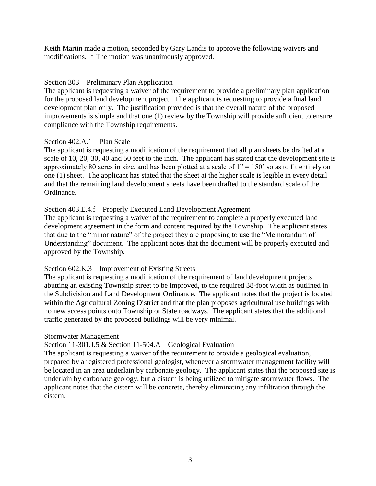Keith Martin made a motion, seconded by Gary Landis to approve the following waivers and modifications. \* The motion was unanimously approved.

# Section 303 – Preliminary Plan Application

The applicant is requesting a waiver of the requirement to provide a preliminary plan application for the proposed land development project. The applicant is requesting to provide a final land development plan only. The justification provided is that the overall nature of the proposed improvements is simple and that one (1) review by the Township will provide sufficient to ensure compliance with the Township requirements.

# Section 402.A.1 – Plan Scale

The applicant is requesting a modification of the requirement that all plan sheets be drafted at a scale of 10, 20, 30, 40 and 50 feet to the inch. The applicant has stated that the development site is approximately 80 acres in size, and has been plotted at a scale of  $1" = 150'$  so as to fit entirely on one (1) sheet. The applicant has stated that the sheet at the higher scale is legible in every detail and that the remaining land development sheets have been drafted to the standard scale of the Ordinance.

# Section 403.E.4.f – Properly Executed Land Development Agreement

The applicant is requesting a waiver of the requirement to complete a properly executed land development agreement in the form and content required by the Township. The applicant states that due to the "minor nature" of the project they are proposing to use the "Memorandum of Understanding" document. The applicant notes that the document will be properly executed and approved by the Township.

# Section 602.K.3 – Improvement of Existing Streets

The applicant is requesting a modification of the requirement of land development projects abutting an existing Township street to be improved, to the required 38-foot width as outlined in the Subdivision and Land Development Ordinance. The applicant notes that the project is located within the Agricultural Zoning District and that the plan proposes agricultural use buildings with no new access points onto Township or State roadways. The applicant states that the additional traffic generated by the proposed buildings will be very minimal.

### Stormwater Management

# Section 11-301.J.5 & Section 11-504.A – Geological Evaluation

The applicant is requesting a waiver of the requirement to provide a geological evaluation, prepared by a registered professional geologist, whenever a stormwater management facility will be located in an area underlain by carbonate geology. The applicant states that the proposed site is underlain by carbonate geology, but a cistern is being utilized to mitigate stormwater flows. The applicant notes that the cistern will be concrete, thereby eliminating any infiltration through the cistern.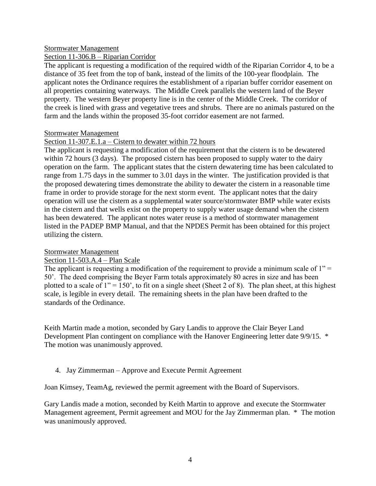#### Stormwater Management

### Section 11-306.B – Riparian Corridor

The applicant is requesting a modification of the required width of the Riparian Corridor 4, to be a distance of 35 feet from the top of bank, instead of the limits of the 100-year floodplain. The applicant notes the Ordinance requires the establishment of a riparian buffer corridor easement on all properties containing waterways. The Middle Creek parallels the western land of the Beyer property. The western Beyer property line is in the center of the Middle Creek. The corridor of the creek is lined with grass and vegetative trees and shrubs. There are no animals pastured on the farm and the lands within the proposed 35-foot corridor easement are not farmed.

### Stormwater Management

### Section 11-307.E.1.a – Cistern to dewater within 72 hours

The applicant is requesting a modification of the requirement that the cistern is to be dewatered within 72 hours (3 days). The proposed cistern has been proposed to supply water to the dairy operation on the farm. The applicant states that the cistern dewatering time has been calculated to range from 1.75 days in the summer to 3.01 days in the winter. The justification provided is that the proposed dewatering times demonstrate the ability to dewater the cistern in a reasonable time frame in order to provide storage for the next storm event. The applicant notes that the dairy operation will use the cistern as a supplemental water source/stormwater BMP while water exists in the cistern and that wells exist on the property to supply water usage demand when the cistern has been dewatered. The applicant notes water reuse is a method of stormwater management listed in the PADEP BMP Manual, and that the NPDES Permit has been obtained for this project utilizing the cistern.

### Stormwater Management

### Section 11-503.A.4 – Plan Scale

The applicant is requesting a modification of the requirement to provide a minimum scale of  $1"$  = 50'. The deed comprising the Beyer Farm totals approximately 80 acres in size and has been plotted to a scale of  $1" = 150'$ , to fit on a single sheet (Sheet 2 of 8). The plan sheet, at this highest scale, is legible in every detail. The remaining sheets in the plan have been drafted to the standards of the Ordinance.

Keith Martin made a motion, seconded by Gary Landis to approve the Clair Beyer Land Development Plan contingent on compliance with the Hanover Engineering letter date 9/9/15. \* The motion was unanimously approved.

### 4. Jay Zimmerman – Approve and Execute Permit Agreement

Joan Kimsey, TeamAg, reviewed the permit agreement with the Board of Supervisors.

Gary Landis made a motion, seconded by Keith Martin to approve and execute the Stormwater Management agreement, Permit agreement and MOU for the Jay Zimmerman plan. \* The motion was unanimously approved.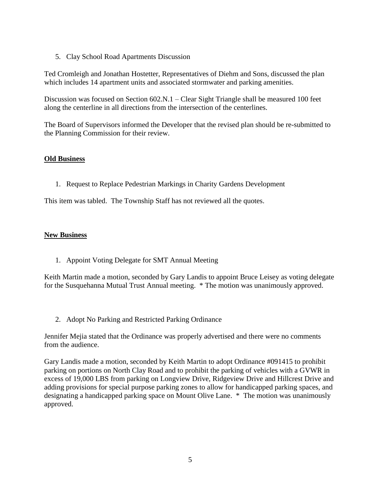5. Clay School Road Apartments Discussion

Ted Cromleigh and Jonathan Hostetter, Representatives of Diehm and Sons, discussed the plan which includes 14 apartment units and associated stormwater and parking amenities.

Discussion was focused on Section 602.N.1 – Clear Sight Triangle shall be measured 100 feet along the centerline in all directions from the intersection of the centerlines.

The Board of Supervisors informed the Developer that the revised plan should be re-submitted to the Planning Commission for their review.

### **Old Business**

1. Request to Replace Pedestrian Markings in Charity Gardens Development

This item was tabled. The Township Staff has not reviewed all the quotes.

### **New Business**

1. Appoint Voting Delegate for SMT Annual Meeting

Keith Martin made a motion, seconded by Gary Landis to appoint Bruce Leisey as voting delegate for the Susquehanna Mutual Trust Annual meeting. \* The motion was unanimously approved.

2. Adopt No Parking and Restricted Parking Ordinance

Jennifer Mejia stated that the Ordinance was properly advertised and there were no comments from the audience.

Gary Landis made a motion, seconded by Keith Martin to adopt Ordinance #091415 to prohibit parking on portions on North Clay Road and to prohibit the parking of vehicles with a GVWR in excess of 19,000 LBS from parking on Longview Drive, Ridgeview Drive and Hillcrest Drive and adding provisions for special purpose parking zones to allow for handicapped parking spaces, and designating a handicapped parking space on Mount Olive Lane. \* The motion was unanimously approved.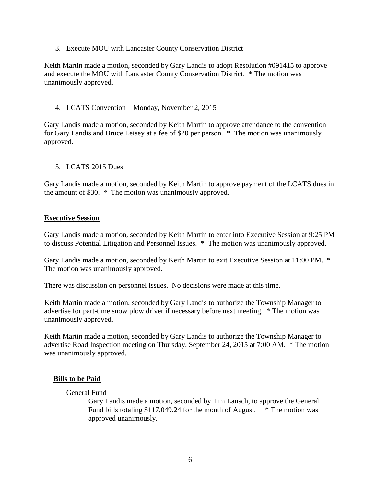3. Execute MOU with Lancaster County Conservation District

Keith Martin made a motion, seconded by Gary Landis to adopt Resolution #091415 to approve and execute the MOU with Lancaster County Conservation District. \* The motion was unanimously approved.

### 4. LCATS Convention – Monday, November 2, 2015

Gary Landis made a motion, seconded by Keith Martin to approve attendance to the convention for Gary Landis and Bruce Leisey at a fee of \$20 per person. \* The motion was unanimously approved.

### 5. LCATS 2015 Dues

Gary Landis made a motion, seconded by Keith Martin to approve payment of the LCATS dues in the amount of \$30. \* The motion was unanimously approved.

#### **Executive Session**

Gary Landis made a motion, seconded by Keith Martin to enter into Executive Session at 9:25 PM to discuss Potential Litigation and Personnel Issues. \* The motion was unanimously approved.

Gary Landis made a motion, seconded by Keith Martin to exit Executive Session at 11:00 PM. \* The motion was unanimously approved.

There was discussion on personnel issues. No decisions were made at this time.

Keith Martin made a motion, seconded by Gary Landis to authorize the Township Manager to advertise for part-time snow plow driver if necessary before next meeting. \* The motion was unanimously approved.

Keith Martin made a motion, seconded by Gary Landis to authorize the Township Manager to advertise Road Inspection meeting on Thursday, September 24, 2015 at 7:00 AM. \* The motion was unanimously approved.

### **Bills to be Paid**

#### General Fund

Gary Landis made a motion, seconded by Tim Lausch, to approve the General Fund bills totaling \$117,049.24 for the month of August.  $*$  The motion was approved unanimously.